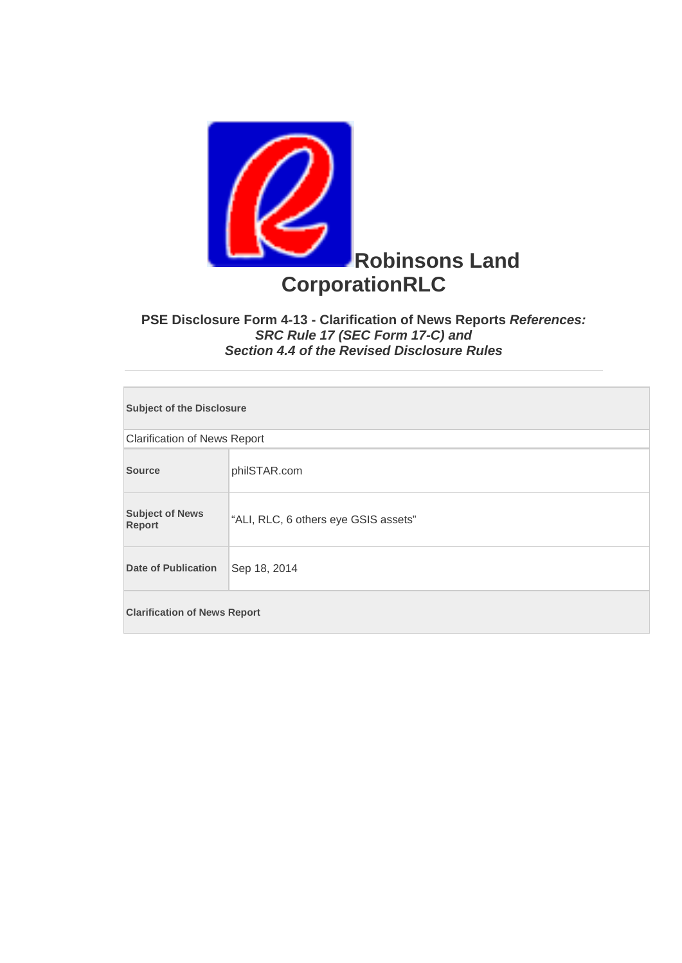

## **PSE Disclosure Form 4-13 - Clarification of News Reports** *References: SRC Rule 17 (SEC Form 17-C) and Section 4.4 of the Revised Disclosure Rules*

| <b>Subject of the Disclosure</b>        |                                      |  |
|-----------------------------------------|--------------------------------------|--|
| <b>Clarification of News Report</b>     |                                      |  |
| <b>Source</b>                           | philSTAR.com                         |  |
| <b>Subject of News</b><br><b>Report</b> | "ALI, RLC, 6 others eye GSIS assets" |  |
| <b>Date of Publication</b>              | Sep 18, 2014                         |  |
| <b>Clarification of News Report</b>     |                                      |  |